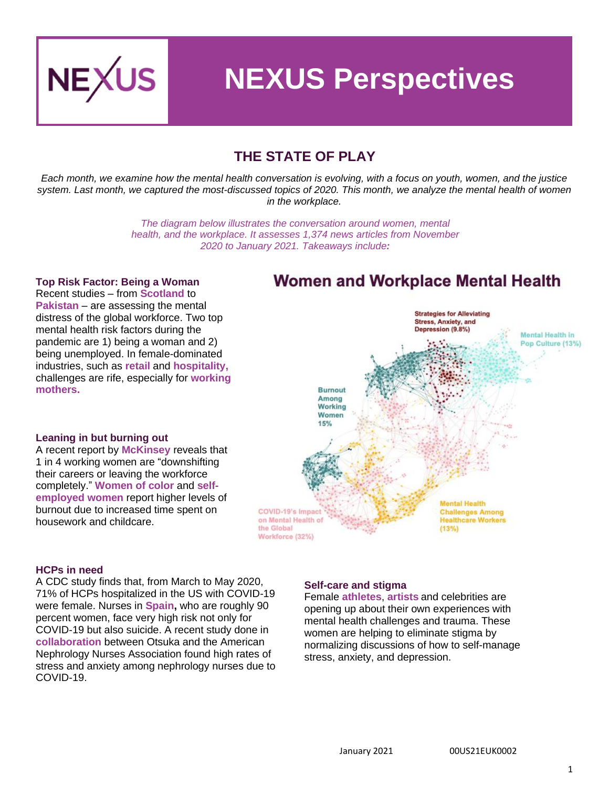

# **NEXUS Perspectives**

## **THE STATE OF PLAY**

*Each month, we examine how the mental health conversation is evolving, with a focus on youth, women, and the justice system. Last month, we captured the most-discussed topics of 2020. This month, we analyze the mental health of women in the workplace.*

> *The diagram below illustrates the conversation around women, mental health, and the workplace. It assesses 1,374 news articles from November 2020 to January 2021. Takeaways include:*

#### **Top Risk Factor: Being a Woman**

Recent studies – from **[Scotland](https://www.pressandjournal.co.uk/fp/news/aberdeen/2649991/coronavirus-in-scotland-what-will-the-mental-health-legacy-of-covid-19-be/)** to **[Pakistan](https://www.frontiersin.org/articles/10.3389/fpsyt.2020.564364/full)** – are assessing the mental distress of the global workforce. Two top mental health risk factors during the pandemic are 1) being a woman and 2) being unemployed. In female-dominated industries, such as **retail** and **[hospita](https://www.smartcompany.com.au/people-human-resources/human-resources/retail-hospitality-workers-mental-health/)lity,** challenges are rife, especially for **[working](https://www.washingtonpost.com/lifestyle/on-parenting/working-moms-covid-pandemic-jobs/2020/10/29/e76a5ee0-0ef5-11eb-8a35-237ef1eb2ef7_story.html)  [mothers.](https://www.washingtonpost.com/lifestyle/on-parenting/working-moms-covid-pandemic-jobs/2020/10/29/e76a5ee0-0ef5-11eb-8a35-237ef1eb2ef7_story.html)**

# **Women and Workplace Mental Health**



#### **Leaning in but burning out**

A recent report by **[McKinse](https://www.mckinsey.com/featured-insights/diversity-and-inclusion/women-in-the-workplace)y** reveals that 1 in 4 working women are "downshifting their careers or leaving the workforce completely." **[Women of colo](https://www.cnbc.com/2020/11/09/women-are-leaving-the-us-workforce-in-record-numbers-due-to-burnout.html)r** and **[self](https://www.forbes.com/sites/alicebroster/2020/10/28/self-employed-women-are-at-a-higher-risk-of-having-poor-mental-health-according-to-study/?sh=10a1f5e017f6)[employed women](https://www.forbes.com/sites/alicebroster/2020/10/28/self-employed-women-are-at-a-higher-risk-of-having-poor-mental-health-according-to-study/?sh=10a1f5e017f6)** report higher levels of burnout due to increased time spent on housework and childcare.

#### **HCPs in need**

A CDC study finds that, from March to May 2020, 71% of HCPs hospitalized in the US with COVID-19 were female. Nurses in **[Spain,](https://www.bmj.com/content/371/bmj.m3942/rr-1)** who are roughly 90 percent women, face very high risk not only for COVID-19 but also suicide. A recent study done in **[collaboration](https://library.annanurse.org/anna/sessions/7988/view)** between Otsuka and the American Nephrology Nurses Association found high rates of stress and anxiety among nephrology nurses due to COVID-19.

#### **Self-care and stigma**

Female **[athletes](https://www.theplayerstribune.com/posts/imani-mcgee-stafford-mental-health-wnba)**, **[artists](https://pressfrom.info/uk/lifestyle/health/-524152-willow-smith-opens-up-on-extreme-anxiety.html)** and celebrities are opening up about their own experiences with mental health challenges and trauma. These women are helping to eliminate stigma by normalizing discussions of how to self-manage stress, anxiety, and depression.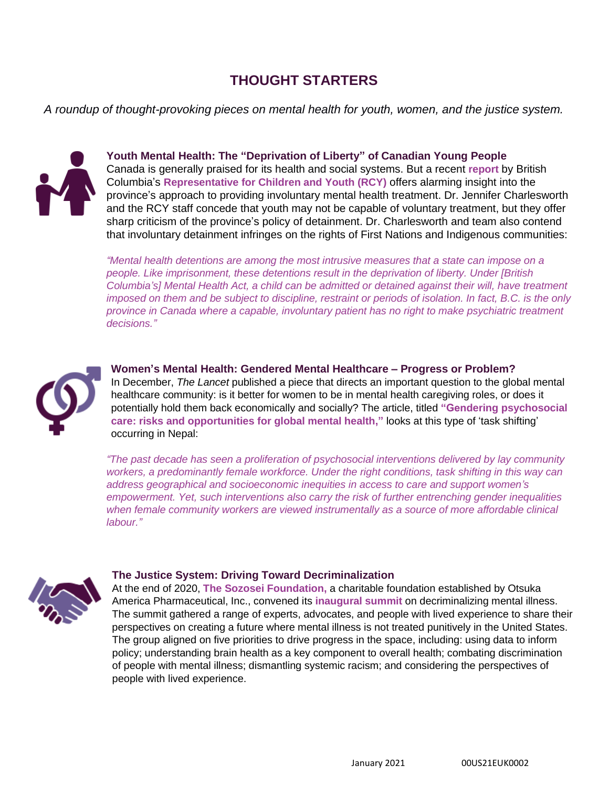## **THOUGHT STARTERS**

*A roundup of thought-provoking pieces on mental health for youth, women, and the justice system.*



**Youth Mental Health: The "Deprivation of Liberty" of Canadian Young People** Canada is generally praised for its health and social systems. But a recent **[report](https://rcybc.ca/wp-content/uploads/2021/01/RCY_Detained-Jan2021.FINAL_.pdf)** by British Columbia's **[Representative for Children and Youth](https://rcybc.ca/) (RCY)** offers alarming insight into the province's approach to providing involuntary mental health treatment. Dr. Jennifer Charlesworth and the RCY staff concede that youth may not be capable of voluntary treatment, but they offer sharp criticism of the province's policy of detainment. Dr. Charlesworth and team also contend that involuntary detainment infringes on the rights of First Nations and Indigenous communities:

*"Mental health detentions are among the most intrusive measures that a state can impose on a people. Like imprisonment, these detentions result in the deprivation of liberty. Under [British Columbia's] Mental Health Act, a child can be admitted or detained against their will, have treatment imposed on them and be subject to discipline, restraint or periods of isolation. In fact, B.C. is the only province in Canada where a capable, involuntary patient has no right to make psychiatric treatment decisions."*



**Women's Mental Health: Gendered Mental Healthcare – Progress or Problem?** In December, *The Lancet* published a piece that directs an important question to the global mental healthcare community: is it better for women to be in mental health caregiving roles, or does it potentially hold them back economically and socially? The article, titled **["Gendering psychosocial](https://www.thelancet.com/journals/lanpsy/article/PIIS2215-0366(20)30483-1/fulltext)  [care: risks and opportunities for global mental health,"](https://www.thelancet.com/journals/lanpsy/article/PIIS2215-0366(20)30483-1/fulltext)** looks at this type of 'task shifting' occurring in Nepal:

*"The past decade has seen a proliferation of psychosocial interventions delivered by lay community workers, a predominantly female workforce. Under the right conditions, task shifting in this way can address geographical and socioeconomic inequities in access to care and support women's empowerment. Yet, such interventions also carry the risk of further entrenching gender inequalities when female community workers are viewed instrumentally as a source of more affordable clinical labour."*



#### **The Justice System: Driving Toward Decriminalization**

At the end of 2020, **[The Sozosei Foundation,](https://www.sozoseifoundation.org/)** a charitable foundation established by Otsuka America Pharmaceutical, Inc., convened its **[inaugural](https://philanthropynewyork.org/news/sozosei-foundation-convenes-experts-inaugural-summit-decriminalize-mental-illness-american) summit** on decriminalizing mental illness. The summit gathered a range of experts, advocates, and people with lived experience to share their perspectives on creating a future where mental illness is not treated punitively in the United States. The group aligned on five priorities to drive progress in the space, including: using data to inform policy; understanding brain health as a key component to overall health; combating discrimination of people with mental illness; dismantling systemic racism; and considering the perspectives of people with lived experience.